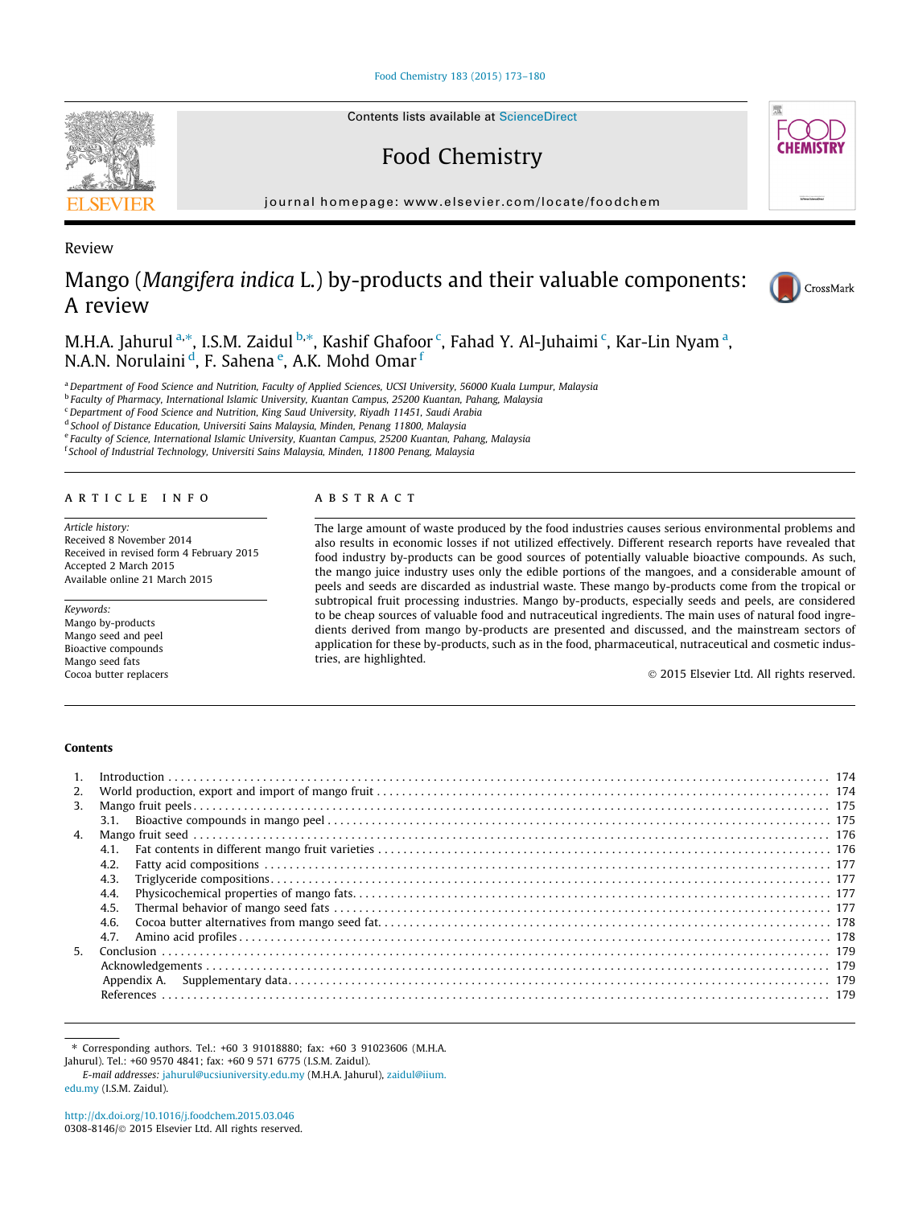[Food Chemistry 183 \(2015\) 173–180](http://dx.doi.org/10.1016/j.foodchem.2015.03.046)



Review

Contents lists available at [ScienceDirect](http://www.sciencedirect.com/science/journal/03088146)

Food Chemistry

journal homepage: [www.elsevier.com/locate/foodchem](http://www.elsevier.com/locate/foodchem)

# Mango (Mangifera indica L.) by-products and their valuable components: A review





M.H.A. Jahurul <sup>a,</sup>\*, I.S.M. Zaidul <sup>b,\*</sup>, Kashif Ghafoor <sup>c</sup>, Fahad Y. Al-Juhaimi <sup>c</sup>, Kar-Lin Nyam <sup>a</sup>, N.A.N. Norulaini <sup>d</sup>, F. Sahena <sup>e</sup>, A.K. Mohd Omar <sup>f</sup>

a Department of Food Science and Nutrition, Faculty of Applied Sciences, UCSI University, 56000 Kuala Lumpur, Malaysia

<sup>b</sup> Faculty of Pharmacy, International Islamic University, Kuantan Campus, 25200 Kuantan, Pahang, Malaysia

<sup>c</sup> Department of Food Science and Nutrition, King Saud University, Riyadh 11451, Saudi Arabia

<sup>d</sup> School of Distance Education, Universiti Sains Malaysia, Minden, Penang 11800, Malaysia

<sup>e</sup> Faculty of Science, International Islamic University, Kuantan Campus, 25200 Kuantan, Pahang, Malaysia

<sup>f</sup> School of Industrial Technology, Universiti Sains Malaysia, Minden, 11800 Penang, Malaysia

# article info

Article history: Received 8 November 2014 Received in revised form 4 February 2015 Accepted 2 March 2015 Available online 21 March 2015

Keywords: Mango by-products Mango seed and peel Bioactive compounds Mango seed fats Cocoa butter replacers

# ABSTRACT

The large amount of waste produced by the food industries causes serious environmental problems and also results in economic losses if not utilized effectively. Different research reports have revealed that food industry by-products can be good sources of potentially valuable bioactive compounds. As such, the mango juice industry uses only the edible portions of the mangoes, and a considerable amount of peels and seeds are discarded as industrial waste. These mango by-products come from the tropical or subtropical fruit processing industries. Mango by-products, especially seeds and peels, are considered to be cheap sources of valuable food and nutraceutical ingredients. The main uses of natural food ingredients derived from mango by-products are presented and discussed, and the mainstream sectors of application for these by-products, such as in the food, pharmaceutical, nutraceutical and cosmetic industries, are highlighted.

- 2015 Elsevier Ltd. All rights reserved.

#### Contents

| 4.1. |  |
|------|--|
| 4.2. |  |
| 4.3. |  |
| 4.4. |  |
| 4.5. |  |
| 4.6. |  |
| 4.7. |  |
|      |  |
|      |  |
|      |  |
|      |  |
|      |  |

⇑ Corresponding authors. Tel.: +60 3 91018880; fax: +60 3 91023606 (M.H.A. Jahurul). Tel.: +60 9570 4841; fax: +60 9 571 6775 (I.S.M. Zaidul).

E-mail addresses: [jahurul@ucsiuniversity.edu.my](mailto:jahurul@ucsiuniversity.edu.my) (M.H.A. Jahurul), [zaidul@iium.](mailto:zaidul@iium.edu.my) [edu.my](mailto:zaidul@iium.edu.my) (I.S.M. Zaidul).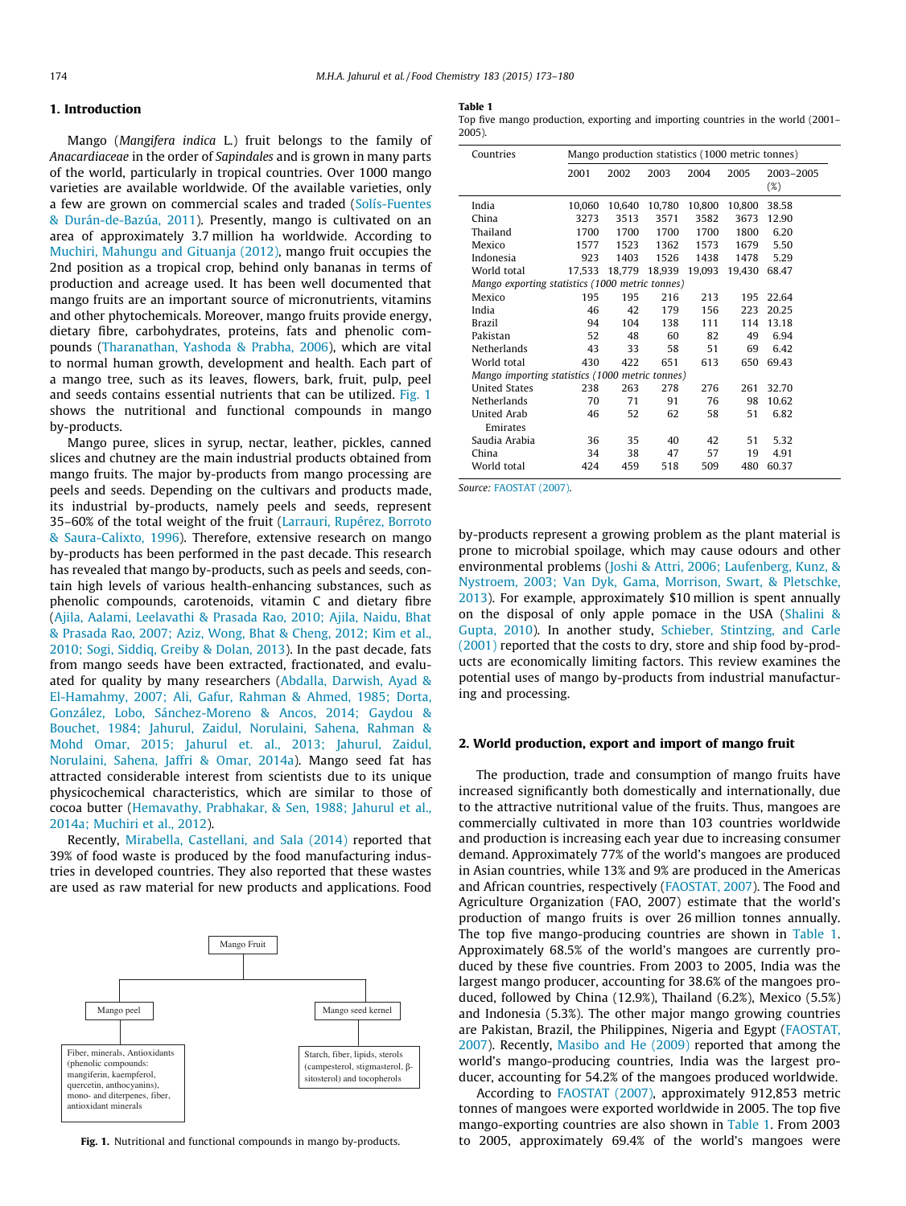# <span id="page-1-0"></span>1. Introduction

Mango (Mangifera indica L.) fruit belongs to the family of Anacardiaceae in the order of Sapindales and is grown in many parts of the world, particularly in tropical countries. Over 1000 mango varieties are available worldwide. Of the available varieties, only a few are grown on commercial scales and traded ([Solís-Fuentes](#page-7-0) [& Durán-de-Bazúa, 2011](#page-7-0)). Presently, mango is cultivated on an area of approximately 3.7 million ha worldwide. According to [Muchiri, Mahungu and Gituanja \(2012\)](#page-7-0), mango fruit occupies the 2nd position as a tropical crop, behind only bananas in terms of production and acreage used. It has been well documented that mango fruits are an important source of micronutrients, vitamins and other phytochemicals. Moreover, mango fruits provide energy, dietary fibre, carbohydrates, proteins, fats and phenolic compounds [\(Tharanathan, Yashoda & Prabha, 2006](#page-7-0)), which are vital to normal human growth, development and health. Each part of a mango tree, such as its leaves, flowers, bark, fruit, pulp, peel and seeds contains essential nutrients that can be utilized. Fig. 1 shows the nutritional and functional compounds in mango by-products.

Mango puree, slices in syrup, nectar, leather, pickles, canned slices and chutney are the main industrial products obtained from mango fruits. The major by-products from mango processing are peels and seeds. Depending on the cultivars and products made, its industrial by-products, namely peels and seeds, represent 35–60% of the total weight of the fruit [\(Larrauri, Rupérez, Borroto](#page-7-0) [& Saura-Calixto, 1996\)](#page-7-0). Therefore, extensive research on mango by-products has been performed in the past decade. This research has revealed that mango by-products, such as peels and seeds, contain high levels of various health-enhancing substances, such as phenolic compounds, carotenoids, vitamin C and dietary fibre ([Ajila, Aalami, Leelavathi & Prasada Rao, 2010; Ajila, Naidu, Bhat](#page-6-0) [& Prasada Rao, 2007; Aziz, Wong, Bhat & Cheng, 2012; Kim et al.,](#page-6-0) [2010; Sogi, Siddiq, Greiby & Dolan, 2013\)](#page-6-0). In the past decade, fats from mango seeds have been extracted, fractionated, and evaluated for quality by many researchers ([Abdalla, Darwish, Ayad &](#page-6-0) [El-Hamahmy, 2007; Ali, Gafur, Rahman & Ahmed, 1985; Dorta,](#page-6-0) [González, Lobo, Sánchez-Moreno & Ancos, 2014; Gaydou &](#page-6-0) [Bouchet, 1984; Jahurul, Zaidul, Norulaini, Sahena, Rahman &](#page-6-0) [Mohd Omar, 2015; Jahurul et. al., 2013; Jahurul, Zaidul,](#page-6-0) [Norulaini, Sahena, Jaffri & Omar, 2014a](#page-6-0)). Mango seed fat has attracted considerable interest from scientists due to its unique physicochemical characteristics, which are similar to those of cocoa butter [\(Hemavathy, Prabhakar, & Sen, 1988; Jahurul et al.,](#page-6-0) [2014a; Muchiri et al., 2012](#page-6-0)).

Recently, [Mirabella, Castellani, and Sala \(2014\)](#page-7-0) reported that 39% of food waste is produced by the food manufacturing industries in developed countries. They also reported that these wastes are used as raw material for new products and applications. Food



Fig. 1. Nutritional and functional compounds in mango by-products.

#### Table 1

Top five mango production, exporting and importing countries in the world (2001– 2005).

| Countries                                       |        | Mango production statistics (1000 metric tonnes) |        |        |        |                     |  |  |  |  |  |
|-------------------------------------------------|--------|--------------------------------------------------|--------|--------|--------|---------------------|--|--|--|--|--|
|                                                 | 2001   | 2002                                             | 2003   | 2004   | 2005   | 2003-2005<br>$(\%)$ |  |  |  |  |  |
| India                                           | 10,060 | 10,640                                           | 10,780 | 10,800 | 10,800 | 38.58               |  |  |  |  |  |
| China                                           | 3273   | 3513                                             | 3571   | 3582   | 3673   | 12.90               |  |  |  |  |  |
| Thailand                                        | 1700   | 1700                                             | 1700   | 1700   | 1800   | 6.20                |  |  |  |  |  |
| Mexico                                          | 1577   | 1523                                             | 1362   | 1573   | 1679   | 5.50                |  |  |  |  |  |
| Indonesia                                       | 923    | 1403                                             | 1526   | 1438   | 1478   | 5.29                |  |  |  |  |  |
| World total                                     | 17,533 | 18,779                                           | 18,939 | 19,093 | 19.430 | 68.47               |  |  |  |  |  |
| Mango exporting statistics (1000 metric tonnes) |        |                                                  |        |        |        |                     |  |  |  |  |  |
| Mexico                                          | 195    | 195                                              | 216    | 213    | 195    | 22.64               |  |  |  |  |  |
| India                                           | 46     | 42                                               | 179    | 156    | 223    | 20.25               |  |  |  |  |  |
| <b>Brazil</b>                                   | 94     | 104                                              | 138    | 111    | 114    | 13.18               |  |  |  |  |  |
| Pakistan                                        | 52     | 48                                               | 60     | 82     | 49     | 6.94                |  |  |  |  |  |
| <b>Netherlands</b>                              | 43     | 33                                               | 58     | 51     | 69     | 6.42                |  |  |  |  |  |
| World total                                     | 430    | 422                                              | 651    | 613    | 650    | 69.43               |  |  |  |  |  |
| Mango importing statistics (1000 metric tonnes) |        |                                                  |        |        |        |                     |  |  |  |  |  |
| <b>United States</b>                            | 238    | 263                                              | 278    | 276    | 261    | 32.70               |  |  |  |  |  |
| <b>Netherlands</b>                              | 70     | 71                                               | 91     | 76     | 98     | 10.62               |  |  |  |  |  |
| <b>United Arab</b>                              | 46     | 52                                               | 62     | 58     | 51     | 6.82                |  |  |  |  |  |
| Emirates                                        |        |                                                  |        |        |        |                     |  |  |  |  |  |
| Saudia Arabia                                   | 36     | 35                                               | 40     | 42     | 51     | 5.32                |  |  |  |  |  |
| China                                           | 34     | 38                                               | 47     | 57     | 19     | 4.91                |  |  |  |  |  |
| World total                                     | 424    | 459                                              | 518    | 509    | 480    | 60.37               |  |  |  |  |  |

Source: [FAOSTAT \(2007\)](#page-6-0).

by-products represent a growing problem as the plant material is prone to microbial spoilage, which may cause odours and other environmental problems [\(Joshi & Attri, 2006; Laufenberg, Kunz, &](#page-6-0) [Nystroem, 2003; Van Dyk, Gama, Morrison, Swart, & Pletschke,](#page-6-0) [2013\)](#page-6-0). For example, approximately \$10 million is spent annually on the disposal of only apple pomace in the USA [\(Shalini &](#page-7-0) [Gupta, 2010](#page-7-0)). In another study, [Schieber, Stintzing, and Carle](#page-7-0) [\(2001\)](#page-7-0) reported that the costs to dry, store and ship food by-products are economically limiting factors. This review examines the potential uses of mango by-products from industrial manufacturing and processing.

#### 2. World production, export and import of mango fruit

The production, trade and consumption of mango fruits have increased significantly both domestically and internationally, due to the attractive nutritional value of the fruits. Thus, mangoes are commercially cultivated in more than 103 countries worldwide and production is increasing each year due to increasing consumer demand. Approximately 77% of the world's mangoes are produced in Asian countries, while 13% and 9% are produced in the Americas and African countries, respectively [\(FAOSTAT, 2007\)](#page-6-0). The Food and Agriculture Organization (FAO, 2007) estimate that the world's production of mango fruits is over 26 million tonnes annually. The top five mango-producing countries are shown in Table 1. Approximately 68.5% of the world's mangoes are currently produced by these five countries. From 2003 to 2005, India was the largest mango producer, accounting for 38.6% of the mangoes produced, followed by China (12.9%), Thailand (6.2%), Mexico (5.5%) and Indonesia (5.3%). The other major mango growing countries are Pakistan, Brazil, the Philippines, Nigeria and Egypt ([FAOSTAT,](#page-6-0) [2007\)](#page-6-0). Recently, [Masibo and He \(2009\)](#page-7-0) reported that among the world's mango-producing countries, India was the largest producer, accounting for 54.2% of the mangoes produced worldwide.

According to [FAOSTAT \(2007\)](#page-6-0), approximately 912,853 metric tonnes of mangoes were exported worldwide in 2005. The top five mango-exporting countries are also shown in Table 1. From 2003 to 2005, approximately 69.4% of the world's mangoes were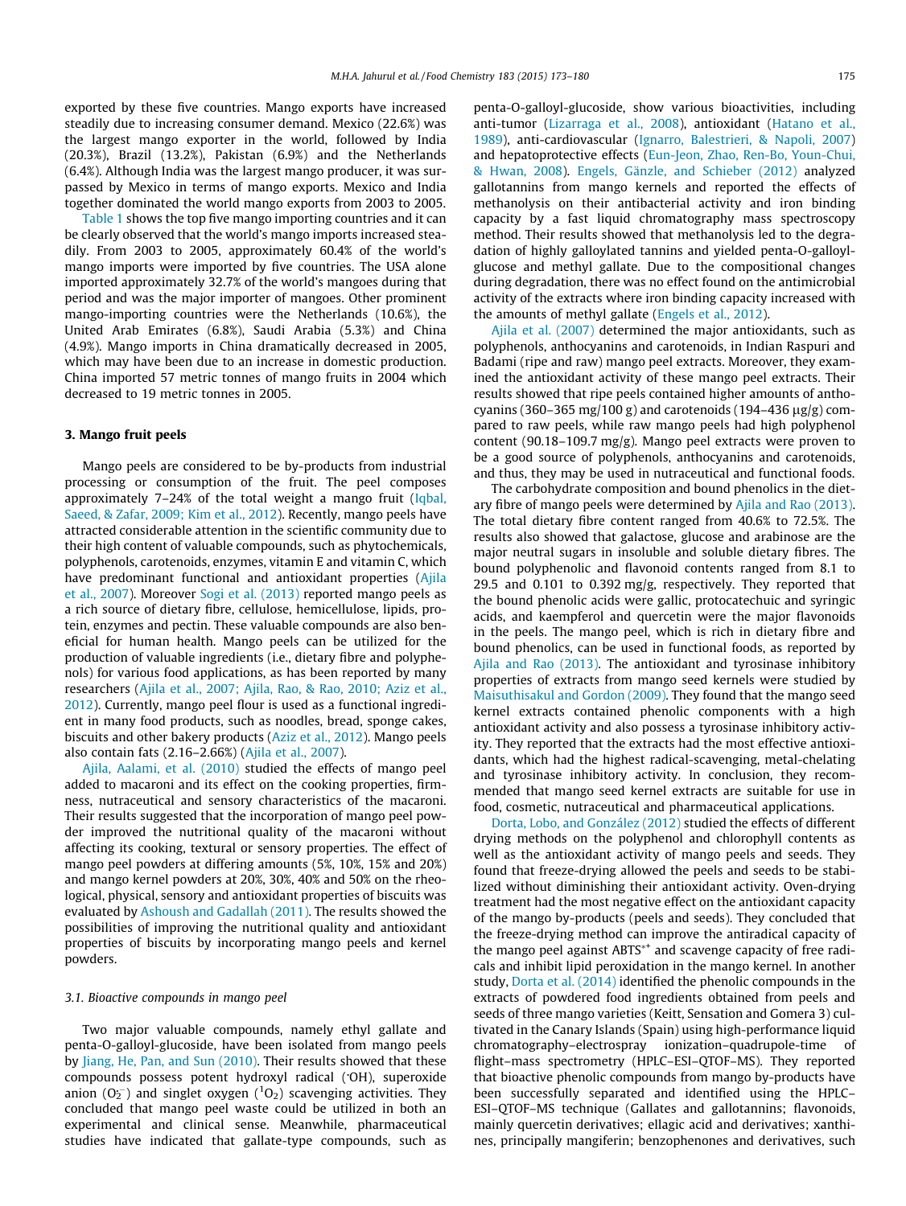exported by these five countries. Mango exports have increased steadily due to increasing consumer demand. Mexico (22.6%) was the largest mango exporter in the world, followed by India (20.3%), Brazil (13.2%), Pakistan (6.9%) and the Netherlands (6.4%). Although India was the largest mango producer, it was surpassed by Mexico in terms of mango exports. Mexico and India together dominated the world mango exports from 2003 to 2005.

[Table 1](#page-1-0) shows the top five mango importing countries and it can be clearly observed that the world's mango imports increased steadily. From 2003 to 2005, approximately 60.4% of the world's mango imports were imported by five countries. The USA alone imported approximately 32.7% of the world's mangoes during that period and was the major importer of mangoes. Other prominent mango-importing countries were the Netherlands (10.6%), the United Arab Emirates (6.8%), Saudi Arabia (5.3%) and China (4.9%). Mango imports in China dramatically decreased in 2005, which may have been due to an increase in domestic production. China imported 57 metric tonnes of mango fruits in 2004 which decreased to 19 metric tonnes in 2005.

# 3. Mango fruit peels

Mango peels are considered to be by-products from industrial processing or consumption of the fruit. The peel composes approximately 7–24% of the total weight a mango fruit ([Iqbal,](#page-6-0) [Saeed, & Zafar, 2009; Kim et al., 2012](#page-6-0)). Recently, mango peels have attracted considerable attention in the scientific community due to their high content of valuable compounds, such as phytochemicals, polyphenols, carotenoids, enzymes, vitamin E and vitamin C, which have predominant functional and antioxidant properties ([Ajila](#page-6-0) [et al., 2007\)](#page-6-0). Moreover [Sogi et al. \(2013\)](#page-7-0) reported mango peels as a rich source of dietary fibre, cellulose, hemicellulose, lipids, protein, enzymes and pectin. These valuable compounds are also beneficial for human health. Mango peels can be utilized for the production of valuable ingredients (i.e., dietary fibre and polyphenols) for various food applications, as has been reported by many researchers ([Ajila et al., 2007; Ajila, Rao, & Rao, 2010; Aziz et al.,](#page-6-0) [2012\)](#page-6-0). Currently, mango peel flour is used as a functional ingredient in many food products, such as noodles, bread, sponge cakes, biscuits and other bakery products ([Aziz et al., 2012\)](#page-6-0). Mango peels also contain fats (2.16–2.66%) [\(Ajila et al., 2007](#page-6-0)).

[Ajila, Aalami, et al. \(2010\)](#page-6-0) studied the effects of mango peel added to macaroni and its effect on the cooking properties, firmness, nutraceutical and sensory characteristics of the macaroni. Their results suggested that the incorporation of mango peel powder improved the nutritional quality of the macaroni without affecting its cooking, textural or sensory properties. The effect of mango peel powders at differing amounts (5%, 10%, 15% and 20%) and mango kernel powders at 20%, 30%, 40% and 50% on the rheological, physical, sensory and antioxidant properties of biscuits was evaluated by [Ashoush and Gadallah \(2011\).](#page-6-0) The results showed the possibilities of improving the nutritional quality and antioxidant properties of biscuits by incorporating mango peels and kernel powders.

#### 3.1. Bioactive compounds in mango peel

Two major valuable compounds, namely ethyl gallate and penta-O-galloyl-glucoside, have been isolated from mango peels by [Jiang, He, Pan, and Sun \(2010\).](#page-6-0) Their results showed that these compounds possess potent hydroxyl radical (OH), superoxide anion  $(O_2^-)$  and singlet oxygen  $(^1O_2)$  scavenging activities. They concluded that mango peel waste could be utilized in both an experimental and clinical sense. Meanwhile, pharmaceutical studies have indicated that gallate-type compounds, such as penta-O-galloyl-glucoside, show various bioactivities, including anti-tumor ([Lizarraga et al., 2008\)](#page-7-0), antioxidant ([Hatano et al.,](#page-6-0) [1989\)](#page-6-0), anti-cardiovascular [\(Ignarro, Balestrieri, & Napoli, 2007\)](#page-6-0) and hepatoprotective effects [\(Eun-Jeon, Zhao, Ren-Bo, Youn-Chui,](#page-6-0) [& Hwan, 2008\)](#page-6-0). [Engels, Gänzle, and Schieber \(2012\)](#page-6-0) analyzed gallotannins from mango kernels and reported the effects of methanolysis on their antibacterial activity and iron binding capacity by a fast liquid chromatography mass spectroscopy method. Their results showed that methanolysis led to the degradation of highly galloylated tannins and yielded penta-O-galloylglucose and methyl gallate. Due to the compositional changes during degradation, there was no effect found on the antimicrobial activity of the extracts where iron binding capacity increased with the amounts of methyl gallate [\(Engels et al., 2012\)](#page-6-0).

[Ajila et al. \(2007\)](#page-6-0) determined the major antioxidants, such as polyphenols, anthocyanins and carotenoids, in Indian Raspuri and Badami (ripe and raw) mango peel extracts. Moreover, they examined the antioxidant activity of these mango peel extracts. Their results showed that ripe peels contained higher amounts of anthocyanins (360–365 mg/100 g) and carotenoids (194–436  $\mu$ g/g) compared to raw peels, while raw mango peels had high polyphenol content (90.18–109.7 mg/g). Mango peel extracts were proven to be a good source of polyphenols, anthocyanins and carotenoids, and thus, they may be used in nutraceutical and functional foods.

The carbohydrate composition and bound phenolics in the dietary fibre of mango peels were determined by [Ajila and Rao \(2013\).](#page-6-0) The total dietary fibre content ranged from 40.6% to 72.5%. The results also showed that galactose, glucose and arabinose are the major neutral sugars in insoluble and soluble dietary fibres. The bound polyphenolic and flavonoid contents ranged from 8.1 to 29.5 and 0.101 to 0.392 mg/g, respectively. They reported that the bound phenolic acids were gallic, protocatechuic and syringic acids, and kaempferol and quercetin were the major flavonoids in the peels. The mango peel, which is rich in dietary fibre and bound phenolics, can be used in functional foods, as reported by [Ajila and Rao \(2013\)](#page-6-0). The antioxidant and tyrosinase inhibitory properties of extracts from mango seed kernels were studied by [Maisuthisakul and Gordon \(2009\).](#page-7-0) They found that the mango seed kernel extracts contained phenolic components with a high antioxidant activity and also possess a tyrosinase inhibitory activity. They reported that the extracts had the most effective antioxidants, which had the highest radical-scavenging, metal-chelating and tyrosinase inhibitory activity. In conclusion, they recommended that mango seed kernel extracts are suitable for use in food, cosmetic, nutraceutical and pharmaceutical applications.

[Dorta, Lobo, and González \(2012\)](#page-6-0) studied the effects of different drying methods on the polyphenol and chlorophyll contents as well as the antioxidant activity of mango peels and seeds. They found that freeze-drying allowed the peels and seeds to be stabilized without diminishing their antioxidant activity. Oven-drying treatment had the most negative effect on the antioxidant capacity of the mango by-products (peels and seeds). They concluded that the freeze-drying method can improve the antiradical capacity of the mango peel against ABTS<sup>\*+</sup> and scavenge capacity of free radicals and inhibit lipid peroxidation in the mango kernel. In another study, [Dorta et al. \(2014\)](#page-6-0) identified the phenolic compounds in the extracts of powdered food ingredients obtained from peels and seeds of three mango varieties (Keitt, Sensation and Gomera 3) cultivated in the Canary Islands (Spain) using high-performance liquid chromatography–electrospray ionization–quadrupole-time of flight–mass spectrometry (HPLC–ESI–QTOF–MS). They reported that bioactive phenolic compounds from mango by-products have been successfully separated and identified using the HPLC– ESI–QTOF–MS technique (Gallates and gallotannins; flavonoids, mainly quercetin derivatives; ellagic acid and derivatives; xanthines, principally mangiferin; benzophenones and derivatives, such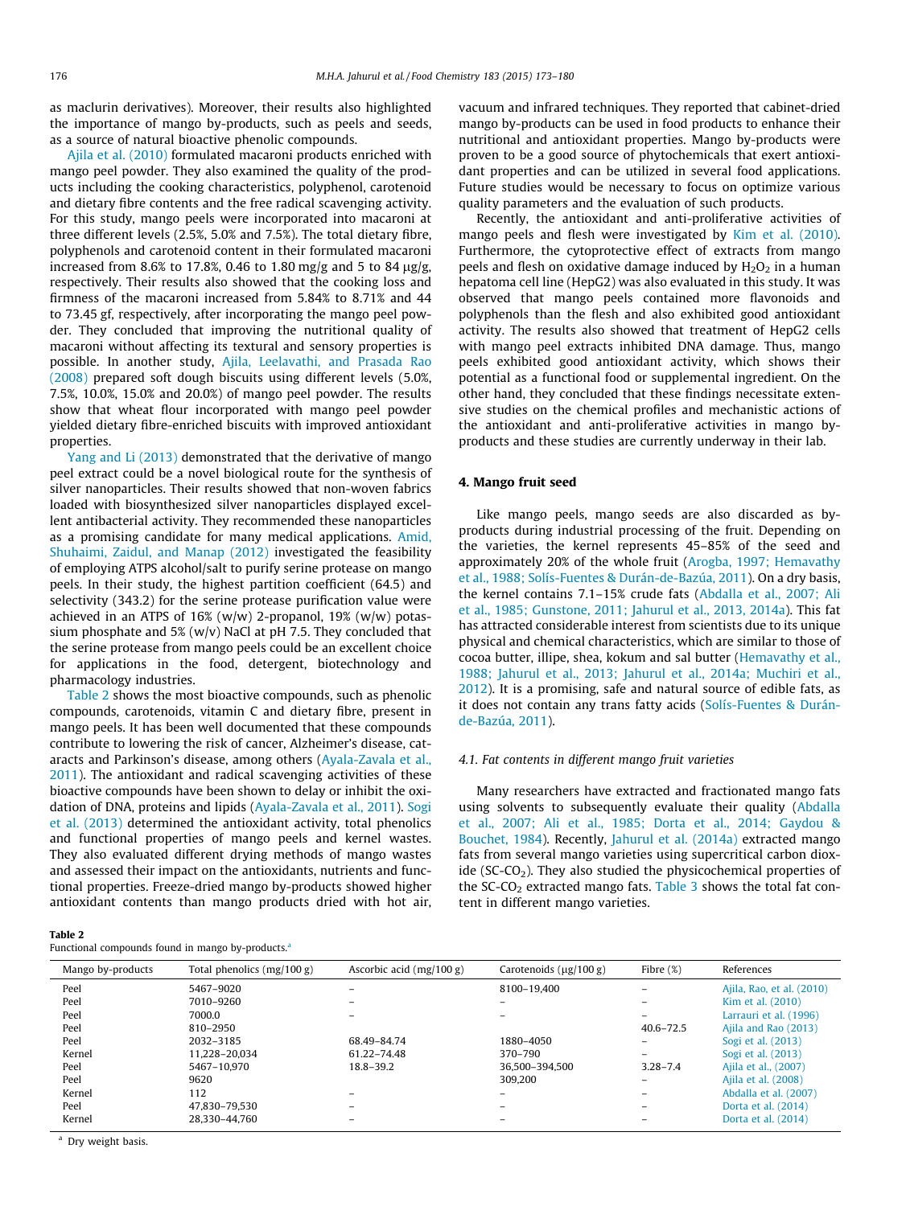as maclurin derivatives). Moreover, their results also highlighted the importance of mango by-products, such as peels and seeds, as a source of natural bioactive phenolic compounds.

[Ajila et al. \(2010\)](#page-6-0) formulated macaroni products enriched with mango peel powder. They also examined the quality of the products including the cooking characteristics, polyphenol, carotenoid and dietary fibre contents and the free radical scavenging activity. For this study, mango peels were incorporated into macaroni at three different levels (2.5%, 5.0% and 7.5%). The total dietary fibre, polyphenols and carotenoid content in their formulated macaroni increased from 8.6% to 17.8%, 0.46 to 1.80 mg/g and 5 to 84  $\mu$ g/g, respectively. Their results also showed that the cooking loss and firmness of the macaroni increased from 5.84% to 8.71% and 44 to 73.45 gf, respectively, after incorporating the mango peel powder. They concluded that improving the nutritional quality of macaroni without affecting its textural and sensory properties is possible. In another study, [Ajila, Leelavathi, and Prasada Rao](#page-6-0) [\(2008\)](#page-6-0) prepared soft dough biscuits using different levels (5.0%, 7.5%, 10.0%, 15.0% and 20.0%) of mango peel powder. The results show that wheat flour incorporated with mango peel powder yielded dietary fibre-enriched biscuits with improved antioxidant properties.

[Yang and Li \(2013\)](#page-7-0) demonstrated that the derivative of mango peel extract could be a novel biological route for the synthesis of silver nanoparticles. Their results showed that non-woven fabrics loaded with biosynthesized silver nanoparticles displayed excellent antibacterial activity. They recommended these nanoparticles as a promising candidate for many medical applications. [Amid,](#page-6-0) [Shuhaimi, Zaidul, and Manap \(2012\)](#page-6-0) investigated the feasibility of employing ATPS alcohol/salt to purify serine protease on mango peels. In their study, the highest partition coefficient (64.5) and selectivity (343.2) for the serine protease purification value were achieved in an ATPS of 16% (w/w) 2-propanol, 19% (w/w) potassium phosphate and 5% ( $w/v$ ) NaCl at pH 7.5. They concluded that the serine protease from mango peels could be an excellent choice for applications in the food, detergent, biotechnology and pharmacology industries.

Table 2 shows the most bioactive compounds, such as phenolic compounds, carotenoids, vitamin C and dietary fibre, present in mango peels. It has been well documented that these compounds contribute to lowering the risk of cancer, Alzheimer's disease, cataracts and Parkinson's disease, among others ([Ayala-Zavala et al.,](#page-6-0) [2011\)](#page-6-0). The antioxidant and radical scavenging activities of these bioactive compounds have been shown to delay or inhibit the oxidation of DNA, proteins and lipids ([Ayala-Zavala et al., 2011\)](#page-6-0). [Sogi](#page-7-0) [et al. \(2013\)](#page-7-0) determined the antioxidant activity, total phenolics and functional properties of mango peels and kernel wastes. They also evaluated different drying methods of mango wastes and assessed their impact on the antioxidants, nutrients and functional properties. Freeze-dried mango by-products showed higher antioxidant contents than mango products dried with hot air, vacuum and infrared techniques. They reported that cabinet-dried mango by-products can be used in food products to enhance their nutritional and antioxidant properties. Mango by-products were proven to be a good source of phytochemicals that exert antioxidant properties and can be utilized in several food applications. Future studies would be necessary to focus on optimize various quality parameters and the evaluation of such products.

Recently, the antioxidant and anti-proliferative activities of mango peels and flesh were investigated by [Kim et al. \(2010\).](#page-7-0) Furthermore, the cytoprotective effect of extracts from mango peels and flesh on oxidative damage induced by  $H_2O_2$  in a human hepatoma cell line (HepG2) was also evaluated in this study. It was observed that mango peels contained more flavonoids and polyphenols than the flesh and also exhibited good antioxidant activity. The results also showed that treatment of HepG2 cells with mango peel extracts inhibited DNA damage. Thus, mango peels exhibited good antioxidant activity, which shows their potential as a functional food or supplemental ingredient. On the other hand, they concluded that these findings necessitate extensive studies on the chemical profiles and mechanistic actions of the antioxidant and anti-proliferative activities in mango byproducts and these studies are currently underway in their lab.

#### 4. Mango fruit seed

Like mango peels, mango seeds are also discarded as byproducts during industrial processing of the fruit. Depending on the varieties, the kernel represents 45–85% of the seed and approximately 20% of the whole fruit ([Arogba, 1997; Hemavathy](#page-6-0) [et al., 1988; Solís-Fuentes & Durán-de-Bazúa, 2011\)](#page-6-0). On a dry basis, the kernel contains 7.1–15% crude fats [\(Abdalla et al., 2007; Ali](#page-6-0) [et al., 1985; Gunstone, 2011; Jahurul et al., 2013, 2014a](#page-6-0)). This fat has attracted considerable interest from scientists due to its unique physical and chemical characteristics, which are similar to those of cocoa butter, illipe, shea, kokum and sal butter [\(Hemavathy et al.,](#page-6-0) [1988; Jahurul et al., 2013; Jahurul et al., 2014a; Muchiri et al.,](#page-6-0) [2012\)](#page-6-0). It is a promising, safe and natural source of edible fats, as it does not contain any trans fatty acids ([Solís-Fuentes & Durán](#page-7-0)[de-Bazúa, 2011](#page-7-0)).

# 4.1. Fat contents in different mango fruit varieties

Many researchers have extracted and fractionated mango fats using solvents to subsequently evaluate their quality [\(Abdalla](#page-6-0) [et al., 2007; Ali et al., 1985; Dorta et al., 2014; Gaydou &](#page-6-0) [Bouchet, 1984\)](#page-6-0). Recently, [Jahurul et al. \(2014a\)](#page-6-0) extracted mango fats from several mango varieties using supercritical carbon dioxide (SC-CO<sub>2</sub>). They also studied the physicochemical properties of the  $SC-CO<sub>2</sub>$  extracted mango fats. [Table 3](#page-4-0) shows the total fat content in different mango varieties.

| $\sim$<br>o m<br>o m |  |
|----------------------|--|
|----------------------|--|

Functional compounds found in mango by-products<sup>a</sup>

| Mango by-products | Total phenolics $(mg/100 g)$ | Ascorbic acid $(mg/100 g)$ | Carotenoids $(\mu g/100 g)$ | Fibre $(\%)$  | References                |
|-------------------|------------------------------|----------------------------|-----------------------------|---------------|---------------------------|
| Peel              | 5467-9020                    |                            | 8100-19.400                 |               | Ajila, Rao, et al. (2010) |
| Peel              | 7010-9260                    |                            |                             |               | Kim et al. (2010)         |
| Peel              | 7000.0                       |                            |                             |               | Larrauri et al. (1996)    |
| Peel              | 810-2950                     |                            |                             | $40.6 - 72.5$ | Ajila and Rao (2013)      |
| Peel              | 2032-3185                    | 68.49-84.74                | 1880-4050                   |               | Sogi et al. (2013)        |
| Kernel            | 11.228-20.034                | 61.22-74.48                | 370-790                     |               | Sogi et al. (2013)        |
| Peel              | 5467-10.970                  | $18.8 - 39.2$              | 36.500-394.500              | $3.28 - 7.4$  | Aiila et al., (2007)      |
| Peel              | 9620                         |                            | 309.200                     |               | Ajila et al. (2008)       |
| Kernel            | 112                          | $\overline{\phantom{a}}$   |                             |               | Abdalla et al. (2007)     |
| Peel              | 47.830-79.530                | -                          |                             |               | Dorta et al. (2014)       |
| Kernel            | 28.330-44.760                | $\equiv$                   |                             |               | Dorta et al. (2014)       |

<sup>a</sup> Dry weight basis.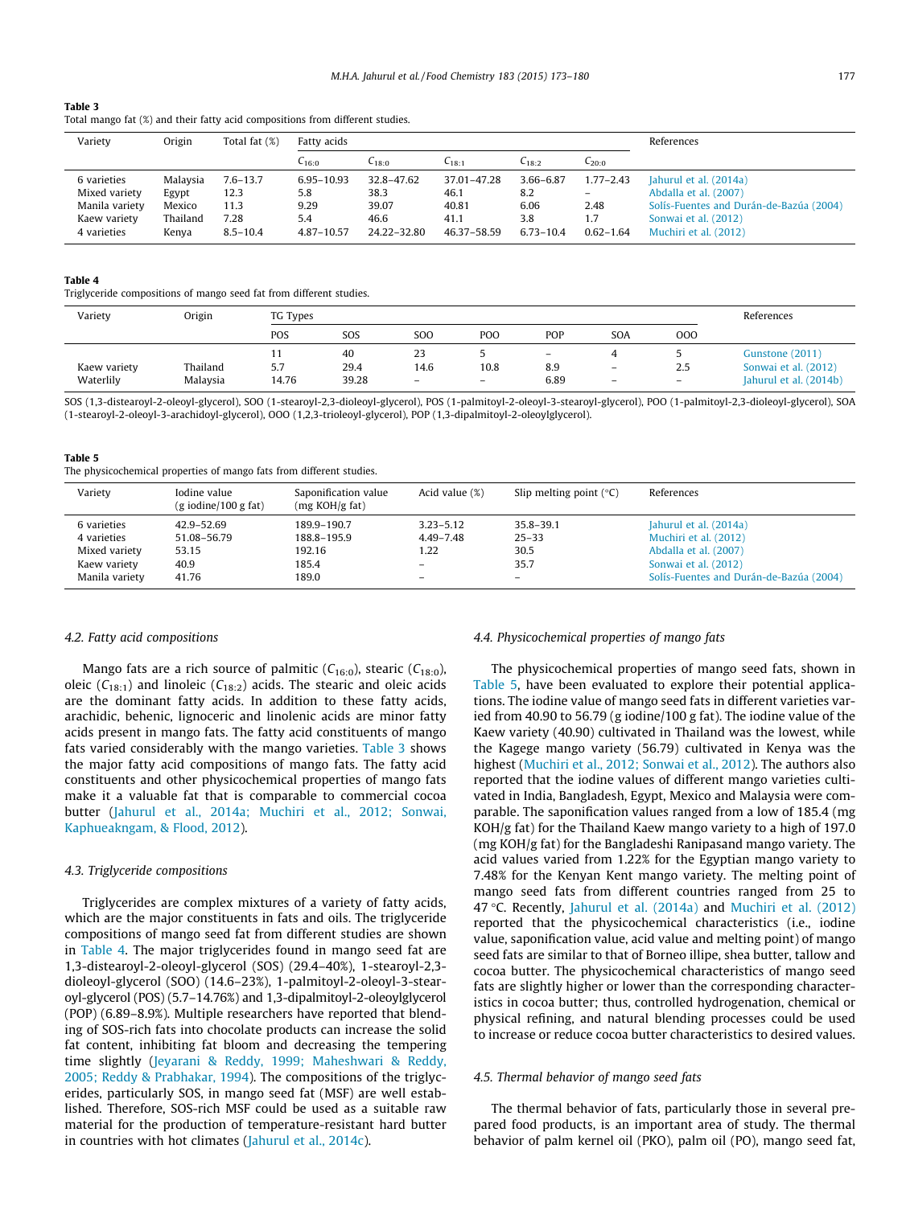<span id="page-4-0"></span>

| Table 3                                                                       |  |  |  |
|-------------------------------------------------------------------------------|--|--|--|
| Total mango fat (%) and their fatty acid compositions from different studies. |  |  |  |

| Variety                                                                       | Origin                                           | Total fat (%)                                        | Fatty acids                                        |                                                    |                                                     | References                                       |                                                                    |                                                                                                                                             |
|-------------------------------------------------------------------------------|--------------------------------------------------|------------------------------------------------------|----------------------------------------------------|----------------------------------------------------|-----------------------------------------------------|--------------------------------------------------|--------------------------------------------------------------------|---------------------------------------------------------------------------------------------------------------------------------------------|
|                                                                               |                                                  |                                                      | $C_{16:0}$                                         | $C_{18:0}$                                         | $C_{18:1}$                                          | $C_{18:2}$                                       | $C_{20:0}$                                                         |                                                                                                                                             |
| 6 varieties<br>Mixed variety<br>Manila variety<br>Kaew variety<br>4 varieties | Malaysia<br>Egypt<br>Mexico<br>Thailand<br>Kenya | $7.6 - 13.7$<br>12.3<br>11.3<br>7.28<br>$8.5 - 10.4$ | 6.95-10.93<br>5.8<br>9.29<br>5.4<br>$4.87 - 10.57$ | 32.8-47.62<br>38.3<br>39.07<br>46.6<br>24.22-32.80 | 37.01-47.28<br>46.1<br>40.81<br>41.1<br>46.37-58.59 | 3.66-6.87<br>8.2<br>6.06<br>3.8<br>$6.73 - 10.4$ | $1.77 - 2.43$<br>$\qquad \qquad -$<br>2.48<br>1.7<br>$0.62 - 1.64$ | Jahurul et al. (2014a)<br>Abdalla et al. (2007)<br>Solís-Fuentes and Durán-de-Bazúa (2004)<br>Sonwai et al. (2012)<br>Muchiri et al. (2012) |

# Table 4

Triglyceride compositions of mango seed fat from different studies.

| Variety      | Origin   | TG Types |       |                          | References               |                          |            |                          |                        |
|--------------|----------|----------|-------|--------------------------|--------------------------|--------------------------|------------|--------------------------|------------------------|
|              |          | POS      | SOS   | SO <sub>O</sub>          | POO                      | <b>POP</b>               | <b>SOA</b> | 000                      |                        |
|              |          | 11       | 40    | 23                       |                          | $\overline{\phantom{0}}$ |            |                          | Gunstone (2011)        |
| Kaew variety | Thailand | 5.7      | 29.4  | 14.6                     | 10.8                     | 8.9                      | $-$        | 2.5                      | Sonwai et al. (2012)   |
| Waterlily    | Malavsia | 14.76    | 39.28 | $\overline{\phantom{a}}$ | $\overline{\phantom{a}}$ | 6.89                     | $-$        | $\overline{\phantom{a}}$ | Jahurul et al. (2014b) |

SOS (1,3-distearoyl-2-oleoyl-glycerol), SOO (1-stearoyl-2,3-dioleoyl-glycerol), POS (1-palmitoyl-2-oleoyl-3-stearoyl-glycerol), POO (1-palmitoyl-2,3-dioleoyl-glycerol), SOA (1-stearoyl-2-oleoyl-3-arachidoyl-glycerol), OOO (1,2,3-trioleoyl-glycerol), POP (1,3-dipalmitoyl-2-oleoylglycerol).

#### Table 5

The physicochemical properties of mango fats from different studies.

| Variety        | Iodine value<br>$(g$ iodine/100 g fat) | Saponification value<br>(mg KOH/g fat) | Acid value (%) | Slip melting point $(°C)$ | References                              |
|----------------|----------------------------------------|----------------------------------------|----------------|---------------------------|-----------------------------------------|
| 6 varieties    | 42.9–52.69                             | 189.9-190.7                            | $3.23 - 5.12$  | $35.8 - 39.1$             | Jahurul et al. (2014a)                  |
| 4 varieties    | 51.08–56.79                            | 188.8-195.9                            | 4.49-7.48      | $25 - 33$                 | Muchiri et al. (2012)                   |
| Mixed variety  | 53.15                                  | 192.16                                 | 1.22           | 30.5                      | Abdalla et al. (2007)                   |
| Kaew variety   | 40.9                                   | 185.4                                  | $-$            | 35.7                      | Sonwai et al. (2012)                    |
| Manila variety | 41.76                                  | 189.0                                  | -              | $\qquad \qquad -$         | Solís-Fuentes and Durán-de-Bazúa (2004) |

#### 4.2. Fatty acid compositions

Mango fats are a rich source of palmitic  $(C_{16:0})$ , stearic  $(C_{18:0})$ , oleic ( $C_{18:1}$ ) and linoleic ( $C_{18:2}$ ) acids. The stearic and oleic acids are the dominant fatty acids. In addition to these fatty acids, arachidic, behenic, lignoceric and linolenic acids are minor fatty acids present in mango fats. The fatty acid constituents of mango fats varied considerably with the mango varieties. Table 3 shows the major fatty acid compositions of mango fats. The fatty acid constituents and other physicochemical properties of mango fats make it a valuable fat that is comparable to commercial cocoa butter [\(Jahurul et al., 2014a; Muchiri et al., 2012; Sonwai,](#page-6-0) [Kaphueakngam, & Flood, 2012](#page-6-0)).

#### 4.3. Triglyceride compositions

Triglycerides are complex mixtures of a variety of fatty acids, which are the major constituents in fats and oils. The triglyceride compositions of mango seed fat from different studies are shown in Table 4. The major triglycerides found in mango seed fat are 1,3-distearoyl-2-oleoyl-glycerol (SOS) (29.4–40%), 1-stearoyl-2,3 dioleoyl-glycerol (SOO) (14.6–23%), 1-palmitoyl-2-oleoyl-3-stearoyl-glycerol (POS) (5.7–14.76%) and 1,3-dipalmitoyl-2-oleoylglycerol (POP) (6.89–8.9%). Multiple researchers have reported that blending of SOS-rich fats into chocolate products can increase the solid fat content, inhibiting fat bloom and decreasing the tempering time slightly [\(Jeyarani & Reddy, 1999; Maheshwari & Reddy,](#page-6-0) [2005; Reddy & Prabhakar, 1994\)](#page-6-0). The compositions of the triglycerides, particularly SOS, in mango seed fat (MSF) are well established. Therefore, SOS-rich MSF could be used as a suitable raw material for the production of temperature-resistant hard butter in countries with hot climates [\(Jahurul et al., 2014c](#page-6-0)).

#### 4.4. Physicochemical properties of mango fats

The physicochemical properties of mango seed fats, shown in Table 5, have been evaluated to explore their potential applications. The iodine value of mango seed fats in different varieties varied from 40.90 to 56.79 (g iodine/100 g fat). The iodine value of the Kaew variety (40.90) cultivated in Thailand was the lowest, while the Kagege mango variety (56.79) cultivated in Kenya was the highest ([Muchiri et al., 2012; Sonwai et al., 2012\)](#page-7-0). The authors also reported that the iodine values of different mango varieties cultivated in India, Bangladesh, Egypt, Mexico and Malaysia were comparable. The saponification values ranged from a low of 185.4 (mg KOH/g fat) for the Thailand Kaew mango variety to a high of 197.0 (mg KOH/g fat) for the Bangladeshi Ranipasand mango variety. The acid values varied from 1.22% for the Egyptian mango variety to 7.48% for the Kenyan Kent mango variety. The melting point of mango seed fats from different countries ranged from 25 to 47 °C. Recently, Jahurul et al.  $(2014a)$  and Muchiri et al.  $(2012)$ reported that the physicochemical characteristics (i.e., iodine value, saponification value, acid value and melting point) of mango seed fats are similar to that of Borneo illipe, shea butter, tallow and cocoa butter. The physicochemical characteristics of mango seed fats are slightly higher or lower than the corresponding characteristics in cocoa butter; thus, controlled hydrogenation, chemical or physical refining, and natural blending processes could be used to increase or reduce cocoa butter characteristics to desired values.

#### 4.5. Thermal behavior of mango seed fats

The thermal behavior of fats, particularly those in several prepared food products, is an important area of study. The thermal behavior of palm kernel oil (PKO), palm oil (PO), mango seed fat,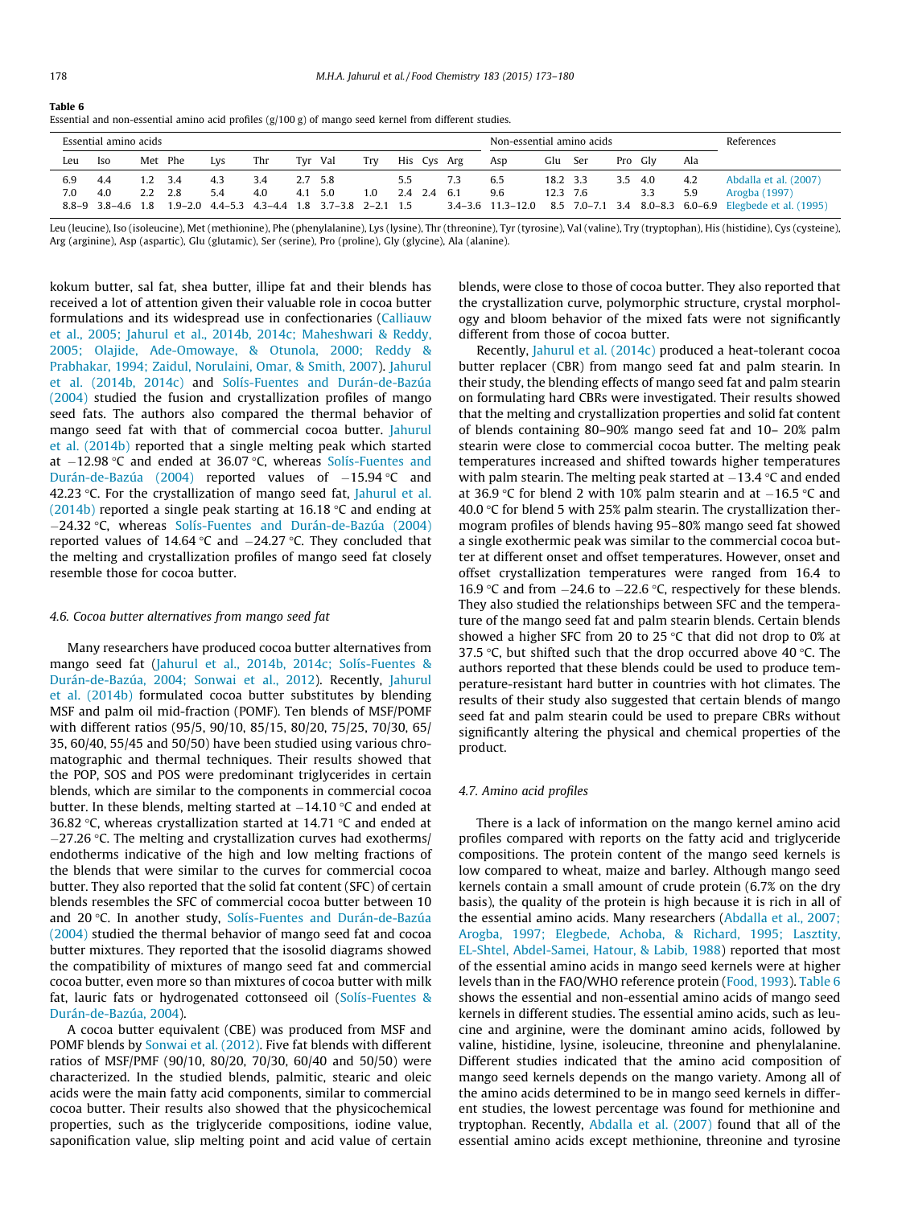| Table 6 |                                                                                                          |
|---------|----------------------------------------------------------------------------------------------------------|
|         | Essential and non-essential amino acid profiles $(g/100 g)$ of mango seed kernel from different studies. |

| Essential amino acids |                       |            |              |            |                                                           |                |     | Non-essential amino acids |     |             |             | References        |                      |     |     |             |            |                                                        |
|-----------------------|-----------------------|------------|--------------|------------|-----------------------------------------------------------|----------------|-----|---------------------------|-----|-------------|-------------|-------------------|----------------------|-----|-----|-------------|------------|--------------------------------------------------------|
| Leu                   | 1so                   | Met Phe    |              | Lvs        | Thr                                                       | Tvr            | Val | Trv                       |     | His Cys Arg |             | Asp               | Glu                  | Ser |     | Pro Gly     | Ala        |                                                        |
| 6.9<br>7.0            | 4.4<br>4.0            | 1.2<br>2.2 | - 3.4<br>2.8 | 4.3<br>5.4 | 3.4<br>4.0                                                | 2.7 5.8<br>4.1 | 5.0 | 1.0                       | 5.5 | 2.4 2.4     | 7.3<br>-6.1 | 6.5<br>9.6        | 18.2 3.3<br>12.3 7.6 |     | 3.5 | -4.0<br>3.3 | 4.2<br>5.9 | Abdalla et al. (2007)<br>Arogba (1997)                 |
|                       | $8.8-9$ $3.8-4.6$ 1.8 |            |              |            | $1.9 - 2.0$ 4.4 - 5.3 4.3 - 4.4 1.8 3.7 - 3.8 2 - 2.1 1.5 |                |     |                           |     |             |             | 3.4-3.6 11.3-12.0 |                      |     |     |             |            | 8.5 7.0–7.1 3.4 8.0–8.3 6.0–6.9 Elegbede et al. (1995) |

Leu (leucine), Iso (isoleucine), Met (methionine), Phe (phenylalanine), Lys (lysine), Thr (threonine), Tyr (tyrosine), Val (valine), Try (tryptophan), His (histidine), Cys (cysteine), Arg (arginine), Asp (aspartic), Glu (glutamic), Ser (serine), Pro (proline), Gly (glycine), Ala (alanine).

kokum butter, sal fat, shea butter, illipe fat and their blends has received a lot of attention given their valuable role in cocoa butter formulations and its widespread use in confectionaries ([Calliauw](#page-6-0) [et al., 2005; Jahurul et al., 2014b, 2014c; Maheshwari & Reddy,](#page-6-0) [2005; Olajide, Ade-Omowaye, & Otunola, 2000; Reddy &](#page-6-0) [Prabhakar, 1994; Zaidul, Norulaini, Omar, & Smith, 2007\)](#page-6-0). [Jahurul](#page-6-0) [et al. \(2014b, 2014c\)](#page-6-0) and [Solís-Fuentes and Durán-de-Bazúa](#page-7-0) [\(2004\)](#page-7-0) studied the fusion and crystallization profiles of mango seed fats. The authors also compared the thermal behavior of mango seed fat with that of commercial cocoa butter. [Jahurul](#page-6-0) [et al. \(2014b\)](#page-6-0) reported that a single melting peak which started at  $-12.98$  °C and ended at 36.07 °C, whereas [Solís-Fuentes and](#page-7-0) [Durán-de-Bazúa \(2004\)](#page-7-0) reported values of –15.94 °C and 42.23  $\degree$ C. For the crystallization of mango seed fat, [Jahurul et al.](#page-6-0)  $(2014b)$  reported a single peak starting at 16.18 °C and ending at -24.32 C, whereas [Solís-Fuentes and Durán-de-Bazúa \(2004\)](#page-7-0) reported values of 14.64 °C and  $-$ 24.27 °C. They concluded that the melting and crystallization profiles of mango seed fat closely resemble those for cocoa butter.

#### 4.6. Cocoa butter alternatives from mango seed fat

Many researchers have produced cocoa butter alternatives from mango seed fat ([Jahurul et al., 2014b, 2014c; Solís-Fuentes &](#page-6-0) [Durán-de-Bazúa, 2004; Sonwai et al., 2012](#page-6-0)). Recently, [Jahurul](#page-6-0) [et al. \(2014b\)](#page-6-0) formulated cocoa butter substitutes by blending MSF and palm oil mid-fraction (POMF). Ten blends of MSF/POMF with different ratios (95/5, 90/10, 85/15, 80/20, 75/25, 70/30, 65/ 35, 60/40, 55/45 and 50/50) have been studied using various chromatographic and thermal techniques. Their results showed that the POP, SOS and POS were predominant triglycerides in certain blends, which are similar to the components in commercial cocoa butter. In these blends, melting started at  $-14.10\ ^\circ\text{C}$  and ended at 36.82 °C, whereas crystallization started at 14.71 °C and ended at  $-27.26$  °C. The melting and crystallization curves had exotherms/ endotherms indicative of the high and low melting fractions of the blends that were similar to the curves for commercial cocoa butter. They also reported that the solid fat content (SFC) of certain blends resembles the SFC of commercial cocoa butter between 10 and 20 °C. In another study, [Solís-Fuentes and Durán-de-Bazúa](#page-7-0) [\(2004\)](#page-7-0) studied the thermal behavior of mango seed fat and cocoa butter mixtures. They reported that the isosolid diagrams showed the compatibility of mixtures of mango seed fat and commercial cocoa butter, even more so than mixtures of cocoa butter with milk fat, lauric fats or hydrogenated cottonseed oil ([Solís-Fuentes &](#page-7-0) [Durán-de-Bazúa, 2004\)](#page-7-0).

A cocoa butter equivalent (CBE) was produced from MSF and POMF blends by [Sonwai et al. \(2012\).](#page-7-0) Five fat blends with different ratios of MSF/PMF (90/10, 80/20, 70/30, 60/40 and 50/50) were characterized. In the studied blends, palmitic, stearic and oleic acids were the main fatty acid components, similar to commercial cocoa butter. Their results also showed that the physicochemical properties, such as the triglyceride compositions, iodine value, saponification value, slip melting point and acid value of certain blends, were close to those of cocoa butter. They also reported that the crystallization curve, polymorphic structure, crystal morphology and bloom behavior of the mixed fats were not significantly different from those of cocoa butter.

Recently, [Jahurul et al. \(2014c\)](#page-6-0) produced a heat-tolerant cocoa butter replacer (CBR) from mango seed fat and palm stearin. In their study, the blending effects of mango seed fat and palm stearin on formulating hard CBRs were investigated. Their results showed that the melting and crystallization properties and solid fat content of blends containing 80–90% mango seed fat and 10– 20% palm stearin were close to commercial cocoa butter. The melting peak temperatures increased and shifted towards higher temperatures with palm stearin. The melting peak started at  $-13.4$  °C and ended at 36.9 °C for blend 2 with 10% palm stearin and at  $-16.5$  °C and 40.0  $\degree$ C for blend 5 with 25% palm stearin. The crystallization thermogram profiles of blends having 95–80% mango seed fat showed a single exothermic peak was similar to the commercial cocoa butter at different onset and offset temperatures. However, onset and offset crystallization temperatures were ranged from 16.4 to 16.9 °C and from  $-24.6$  to  $-22.6$  °C, respectively for these blends. They also studied the relationships between SFC and the temperature of the mango seed fat and palm stearin blends. Certain blends showed a higher SFC from 20 to 25  $\degree$ C that did not drop to 0% at 37.5 °C, but shifted such that the drop occurred above 40 °C. The authors reported that these blends could be used to produce temperature-resistant hard butter in countries with hot climates. The results of their study also suggested that certain blends of mango seed fat and palm stearin could be used to prepare CBRs without significantly altering the physical and chemical properties of the product.

#### 4.7. Amino acid profiles

There is a lack of information on the mango kernel amino acid profiles compared with reports on the fatty acid and triglyceride compositions. The protein content of the mango seed kernels is low compared to wheat, maize and barley. Although mango seed kernels contain a small amount of crude protein (6.7% on the dry basis), the quality of the protein is high because it is rich in all of the essential amino acids. Many researchers [\(Abdalla et al., 2007;](#page-6-0) [Arogba, 1997; Elegbede, Achoba, & Richard, 1995; Lasztity,](#page-6-0) [EL-Shtel, Abdel-Samei, Hatour, & Labib, 1988](#page-6-0)) reported that most of the essential amino acids in mango seed kernels were at higher levels than in the FAO/WHO reference protein ([Food, 1993\)](#page-6-0). Table 6 shows the essential and non-essential amino acids of mango seed kernels in different studies. The essential amino acids, such as leucine and arginine, were the dominant amino acids, followed by valine, histidine, lysine, isoleucine, threonine and phenylalanine. Different studies indicated that the amino acid composition of mango seed kernels depends on the mango variety. Among all of the amino acids determined to be in mango seed kernels in different studies, the lowest percentage was found for methionine and tryptophan. Recently, [Abdalla et al. \(2007\)](#page-6-0) found that all of the essential amino acids except methionine, threonine and tyrosine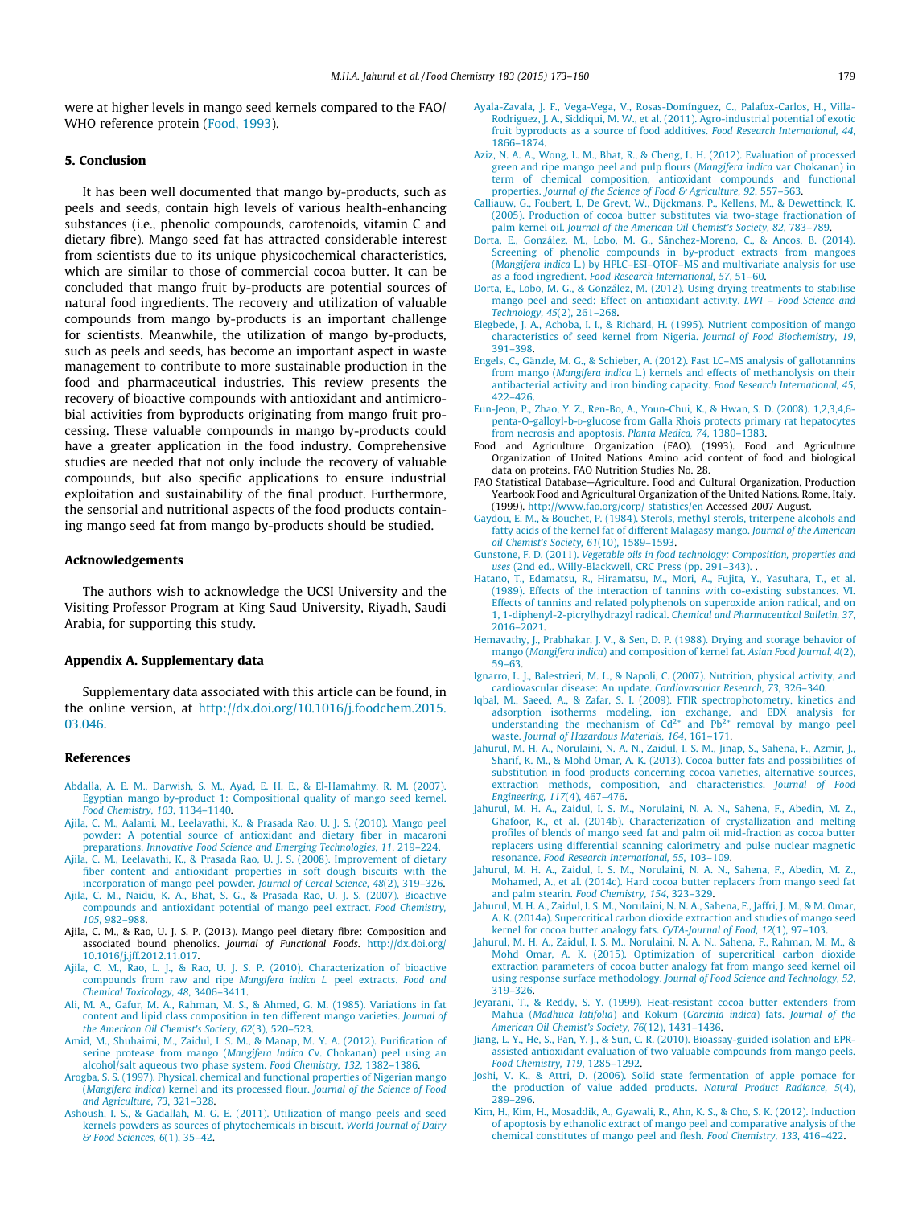<span id="page-6-0"></span>were at higher levels in mango seed kernels compared to the FAO/ WHO reference protein (Food, 1993).

# 5. Conclusion

It has been well documented that mango by-products, such as peels and seeds, contain high levels of various health-enhancing substances (i.e., phenolic compounds, carotenoids, vitamin C and dietary fibre). Mango seed fat has attracted considerable interest from scientists due to its unique physicochemical characteristics, which are similar to those of commercial cocoa butter. It can be concluded that mango fruit by-products are potential sources of natural food ingredients. The recovery and utilization of valuable compounds from mango by-products is an important challenge for scientists. Meanwhile, the utilization of mango by-products, such as peels and seeds, has become an important aspect in waste management to contribute to more sustainable production in the food and pharmaceutical industries. This review presents the recovery of bioactive compounds with antioxidant and antimicrobial activities from byproducts originating from mango fruit processing. These valuable compounds in mango by-products could have a greater application in the food industry. Comprehensive studies are needed that not only include the recovery of valuable compounds, but also specific applications to ensure industrial exploitation and sustainability of the final product. Furthermore, the sensorial and nutritional aspects of the food products containing mango seed fat from mango by-products should be studied.

#### Acknowledgements

The authors wish to acknowledge the UCSI University and the Visiting Professor Program at King Saud University, Riyadh, Saudi Arabia, for supporting this study.

#### Appendix A. Supplementary data

Supplementary data associated with this article can be found, in the online version, at [http://dx.doi.org/10.1016/j.foodchem.2015.](http://dx.doi.org/10.1016/j.foodchem.2015.03.046) [03.046](http://dx.doi.org/10.1016/j.foodchem.2015.03.046).

#### References

- [Abdalla, A. E. M., Darwish, S. M., Ayad, E. H. E., & El-Hamahmy, R. M. \(2007\).](http://refhub.elsevier.com/S0308-8146(15)00409-4/h0005) [Egyptian mango by-product 1: Compositional quality of mango seed kernel.](http://refhub.elsevier.com/S0308-8146(15)00409-4/h0005) [Food Chemistry, 103](http://refhub.elsevier.com/S0308-8146(15)00409-4/h0005), 1134–1140.
- [Ajila, C. M., Aalami, M., Leelavathi, K., & Prasada Rao, U. J. S. \(2010\). Mango peel](http://refhub.elsevier.com/S0308-8146(15)00409-4/h0010) [powder: A potential source of antioxidant and dietary fiber in macaroni](http://refhub.elsevier.com/S0308-8146(15)00409-4/h0010) preparations. [Innovative Food Science and Emerging Technologies, 11](http://refhub.elsevier.com/S0308-8146(15)00409-4/h0010), 219–224.
- [Ajila, C. M., Leelavathi, K., & Prasada Rao, U. J. S. \(2008\). Improvement of dietary](http://refhub.elsevier.com/S0308-8146(15)00409-4/h0015) [fiber content and antioxidant properties in soft dough biscuits with the](http://refhub.elsevier.com/S0308-8146(15)00409-4/h0015) [incorporation of mango peel powder.](http://refhub.elsevier.com/S0308-8146(15)00409-4/h0015) Journal of Cereal Science, 48(2), 319–326.
- [Ajila, C. M., Naidu, K. A., Bhat, S. G., & Prasada Rao, U. J. S. \(2007\). Bioactive](http://refhub.elsevier.com/S0308-8146(15)00409-4/h0020) [compounds and antioxidant potential of mango peel extract.](http://refhub.elsevier.com/S0308-8146(15)00409-4/h0020) Food Chemistry, 105[, 982–988.](http://refhub.elsevier.com/S0308-8146(15)00409-4/h0020)
- Ajila, C. M., & Rao, U. J. S. P. (2013). Mango peel dietary fibre: Composition and associated bound phenolics. Journal of Functional Foods. [http://dx.doi.org/](http://dx.doi.org/10.1016/j.jff.2012.11.017) [10.1016/j.jff.2012.11.017.](http://dx.doi.org/10.1016/j.jff.2012.11.017)
- [Ajila, C. M., Rao, L. J., & Rao, U. J. S. P. \(2010\). Characterization of bioactive](http://refhub.elsevier.com/S0308-8146(15)00409-4/h0030) [compounds from raw and ripe](http://refhub.elsevier.com/S0308-8146(15)00409-4/h0030) Mangifera indica L. peel extracts. Food and [Chemical Toxicology, 48](http://refhub.elsevier.com/S0308-8146(15)00409-4/h0030), 3406–3411.
- [Ali, M. A., Gafur, M. A., Rahman, M. S., & Ahmed, G. M. \(1985\). Variations in fat](http://refhub.elsevier.com/S0308-8146(15)00409-4/h0035) [content and lipid class composition in ten different mango varieties.](http://refhub.elsevier.com/S0308-8146(15)00409-4/h0035) Journal of [the American Oil Chemist's Society, 62](http://refhub.elsevier.com/S0308-8146(15)00409-4/h0035)(3), 520–523.
- [Amid, M., Shuhaimi, M., Zaidul, I. S. M., & Manap, M. Y. A. \(2012\). Purification of](http://refhub.elsevier.com/S0308-8146(15)00409-4/h0040) [serine protease from mango \(](http://refhub.elsevier.com/S0308-8146(15)00409-4/h0040)Mangifera Indica Cv. Chokanan) peel using an [alcohol/salt aqueous two phase system.](http://refhub.elsevier.com/S0308-8146(15)00409-4/h0040) Food Chemistry, 132, 1382–1386.
- [Arogba, S. S. \(1997\). Physical, chemical and functional properties of Nigerian mango](http://refhub.elsevier.com/S0308-8146(15)00409-4/h0045) (Mangifera indica[\) kernel and its processed flour.](http://refhub.elsevier.com/S0308-8146(15)00409-4/h0045) Journal of the Science of Food [and Agriculture, 73](http://refhub.elsevier.com/S0308-8146(15)00409-4/h0045), 321–328.
- [Ashoush, I. S., & Gadallah, M. G. E. \(2011\). Utilization of mango peels and seed](http://refhub.elsevier.com/S0308-8146(15)00409-4/h0050) [kernels powders as sources of phytochemicals in biscuit.](http://refhub.elsevier.com/S0308-8146(15)00409-4/h0050) World Journal of Dairy [& Food Sciences, 6](http://refhub.elsevier.com/S0308-8146(15)00409-4/h0050)(1), 35–42.
- [Ayala-Zavala, J. F., Vega-Vega, V., Rosas-Domínguez, C., Palafox-Carlos, H., Villa-](http://refhub.elsevier.com/S0308-8146(15)00409-4/h0055)[Rodriguez, J. A., Siddiqui, M. W., et al. \(2011\). Agro-industrial potential of exotic](http://refhub.elsevier.com/S0308-8146(15)00409-4/h0055) [fruit byproducts as a source of food additives.](http://refhub.elsevier.com/S0308-8146(15)00409-4/h0055) Food Research International, 44, [1866–1874.](http://refhub.elsevier.com/S0308-8146(15)00409-4/h0055)
- [Aziz, N. A. A., Wong, L. M., Bhat, R., & Cheng, L. H. \(2012\). Evaluation of processed](http://refhub.elsevier.com/S0308-8146(15)00409-4/h0060) [green and ripe mango peel and pulp flours \(](http://refhub.elsevier.com/S0308-8146(15)00409-4/h0060)Mangifera indica var Chokanan) in [term of chemical composition, antioxidant compounds and functional](http://refhub.elsevier.com/S0308-8146(15)00409-4/h0060) properties. [Journal of the Science of Food & Agriculture, 92](http://refhub.elsevier.com/S0308-8146(15)00409-4/h0060), 557-563.
- [Calliauw, G., Foubert, I., De Grevt, W., Dijckmans, P., Kellens, M., & Dewettinck, K.](http://refhub.elsevier.com/S0308-8146(15)00409-4/h0075) [\(2005\). Production of cocoa butter substitutes via two-stage fractionation of](http://refhub.elsevier.com/S0308-8146(15)00409-4/h0075) palm kernel oil. [Journal of the American Oil Chemist's Society, 82](http://refhub.elsevier.com/S0308-8146(15)00409-4/h0075), 783–789.
- [Dorta, E., González, M., Lobo, M. G., Sánchez-Moreno, C., & Ancos, B. \(2014\).](http://refhub.elsevier.com/S0308-8146(15)00409-4/h0080) [Screening of phenolic compounds in by-product extracts from mangoes](http://refhub.elsevier.com/S0308-8146(15)00409-4/h0080) (Mangifera indica [L.\) by HPLC–ESI–QTOF–MS and multivariate analysis for use](http://refhub.elsevier.com/S0308-8146(15)00409-4/h0080) as a food ingredient. [Food Research International, 57](http://refhub.elsevier.com/S0308-8146(15)00409-4/h0080), 51–60.
- [Dorta, E., Lobo, M. G., & González, M. \(2012\). Using drying treatments to stabilise](http://refhub.elsevier.com/S0308-8146(15)00409-4/h0085) [mango peel and seed: Effect on antioxidant activity.](http://refhub.elsevier.com/S0308-8146(15)00409-4/h0085) LWT – Food Science and [Technology, 45](http://refhub.elsevier.com/S0308-8146(15)00409-4/h0085)(2), 261–268.
- [Elegbede, J. A., Achoba, I. I., & Richard, H. \(1995\). Nutrient composition of mango](http://refhub.elsevier.com/S0308-8146(15)00409-4/h0090) [characteristics of seed kernel from Nigeria.](http://refhub.elsevier.com/S0308-8146(15)00409-4/h0090) Journal of Food Biochemistry, 19, [391–398](http://refhub.elsevier.com/S0308-8146(15)00409-4/h0090).
- [Engels, C., Gänzle, M. G., & Schieber, A. \(2012\). Fast LC–MS analysis of gallotannins](http://refhub.elsevier.com/S0308-8146(15)00409-4/h0095) from mango (Mangifera indica [L.\) kernels and effects of methanolysis on their](http://refhub.elsevier.com/S0308-8146(15)00409-4/h0095) [antibacterial activity and iron binding capacity.](http://refhub.elsevier.com/S0308-8146(15)00409-4/h0095) Food Research International, 45, [422–426](http://refhub.elsevier.com/S0308-8146(15)00409-4/h0095).
- [Eun-Jeon, P., Zhao, Y. Z., Ren-Bo, A., Youn-Chui, K., & Hwan, S. D. \(2008\). 1,2,3,4,6](http://refhub.elsevier.com/S0308-8146(15)00409-4/h0100) [penta-O-galloyl-b-D-glucose from Galla Rhois protects primary rat hepatocytes](http://refhub.elsevier.com/S0308-8146(15)00409-4/h0100) [from necrosis and apoptosis.](http://refhub.elsevier.com/S0308-8146(15)00409-4/h0100) Planta Medica, 74, 1380–1383.
- Food and Agriculture Organization (FAO). (1993). Food and Agriculture Organization of United Nations Amino acid content of food and biological data on proteins. FAO Nutrition Studies No. 28.
- FAO Statistical Database—Agriculture. Food and Cultural Organization, Production Yearbook Food and Agricultural Organization of the United Nations. Rome, Italy. (1999). [http://www.fao.org/corp/ statistics/en](http://www.fao.org/corp/%20statistics/en) Accessed 2007 August.
- [Gaydou, E. M., & Bouchet, P. \(1984\). Sterols, methyl sterols, triterpene alcohols and](http://refhub.elsevier.com/S0308-8146(15)00409-4/h0115) [fatty acids of the kernel fat of different Malagasy mango.](http://refhub.elsevier.com/S0308-8146(15)00409-4/h0115) Journal of the American [oil Chemist's Society, 61](http://refhub.elsevier.com/S0308-8146(15)00409-4/h0115)(10), 1589–1593.
- Gunstone, F. D. (2011). [Vegetable oils in food technology: Composition, properties and](http://refhub.elsevier.com/S0308-8146(15)00409-4/h0125) uses (2nd ed.. Willy-Blackwell, CRC Press (pp. 291-343).
- [Hatano, T., Edamatsu, R., Hiramatsu, M., Mori, A., Fujita, Y., Yasuhara, T., et al.](http://refhub.elsevier.com/S0308-8146(15)00409-4/h0130) [\(1989\). Effects of the interaction of tannins with co-existing substances. VI.](http://refhub.elsevier.com/S0308-8146(15)00409-4/h0130) [Effects of tannins and related polyphenols on superoxide anion radical, and on](http://refhub.elsevier.com/S0308-8146(15)00409-4/h0130) 1, 1-diphenyl-2-picrylhydrazyl radical. [Chemical and Pharmaceutical Bulletin, 37](http://refhub.elsevier.com/S0308-8146(15)00409-4/h0130), [2016–2021.](http://refhub.elsevier.com/S0308-8146(15)00409-4/h0130)
- [Hemavathy, J., Prabhakar, J. V., & Sen, D. P. \(1988\). Drying and storage behavior of](http://refhub.elsevier.com/S0308-8146(15)00409-4/h0135) mango (Mangifera indica[\) and composition of kernel fat.](http://refhub.elsevier.com/S0308-8146(15)00409-4/h0135) Asian Food Journal, 4(2), [59–63.](http://refhub.elsevier.com/S0308-8146(15)00409-4/h0135)
- [Ignarro, L. J., Balestrieri, M. L., & Napoli, C. \(2007\). Nutrition, physical activity, and](http://refhub.elsevier.com/S0308-8146(15)00409-4/h0150) [cardiovascular disease: An update.](http://refhub.elsevier.com/S0308-8146(15)00409-4/h0150) Cardiovascular Research, 73, 326–340.
- [Iqbal, M., Saeed, A., & Zafar, S. I. \(2009\). FTIR spectrophotometry, kinetics and](http://refhub.elsevier.com/S0308-8146(15)00409-4/h0155) [adsorption isotherms modeling, ion exchange, and EDX analysis for](http://refhub.elsevier.com/S0308-8146(15)00409-4/h0155) [understanding](http://refhub.elsevier.com/S0308-8146(15)00409-4/h0155) [the](http://refhub.elsevier.com/S0308-8146(15)00409-4/h0155) [mechanism](http://refhub.elsevier.com/S0308-8146(15)00409-4/h0155) [of](http://refhub.elsevier.com/S0308-8146(15)00409-4/h0155)  $Cd^{2+}$  [and](http://refhub.elsevier.com/S0308-8146(15)00409-4/h0155)  $Pb^{2+}$  [removal by mango peel](http://refhub.elsevier.com/S0308-8146(15)00409-4/h0155) waste. [Journal of Hazardous Materials, 164](http://refhub.elsevier.com/S0308-8146(15)00409-4/h0155), 161–171.
- [Jahurul, M. H. A., Norulaini, N. A. N., Zaidul, I. S. M., Jinap, S., Sahena, F., Azmir, J.,](http://refhub.elsevier.com/S0308-8146(15)00409-4/h0160) [Sharif, K. M., & Mohd Omar, A. K. \(2013\). Cocoa butter fats and possibilities of](http://refhub.elsevier.com/S0308-8146(15)00409-4/h0160) [substitution in food products concerning cocoa varieties, alternative sources,](http://refhub.elsevier.com/S0308-8146(15)00409-4/h0160) [extraction methods, composition, and characteristics.](http://refhub.elsevier.com/S0308-8146(15)00409-4/h0160) Journal of Food [Engineering, 117](http://refhub.elsevier.com/S0308-8146(15)00409-4/h0160)(4), 467–476.
- [Jahurul, M. H. A., Zaidul, I. S. M., Norulaini, N. A. N., Sahena, F., Abedin, M. Z.,](http://refhub.elsevier.com/S0308-8146(15)00409-4/h0165) [Ghafoor, K., et al. \(2014b\). Characterization of crystallization and melting](http://refhub.elsevier.com/S0308-8146(15)00409-4/h0165) [profiles of blends of mango seed fat and palm oil mid-fraction as cocoa butter](http://refhub.elsevier.com/S0308-8146(15)00409-4/h0165) [replacers using differential scanning calorimetry and pulse nuclear magnetic](http://refhub.elsevier.com/S0308-8146(15)00409-4/h0165) resonance. [Food Research International, 55](http://refhub.elsevier.com/S0308-8146(15)00409-4/h0165), 103–109.
- [Jahurul, M. H. A., Zaidul, I. S. M., Norulaini, N. A. N., Sahena, F., Abedin, M. Z.,](http://refhub.elsevier.com/S0308-8146(15)00409-4/h0170) [Mohamed, A., et al. \(2014c\). Hard cocoa butter replacers from mango seed fat](http://refhub.elsevier.com/S0308-8146(15)00409-4/h0170) and palm stearin. [Food Chemistry, 154](http://refhub.elsevier.com/S0308-8146(15)00409-4/h0170), 323–329.
- [Jahurul, M. H. A., Zaidul, I. S. M., Norulaini, N. N. A., Sahena, F., Jaffri, J. M., & M. Omar,](http://refhub.elsevier.com/S0308-8146(15)00409-4/h0175) [A. K. \(2014a\). Supercritical carbon dioxide extraction and studies of mango seed](http://refhub.elsevier.com/S0308-8146(15)00409-4/h0175) [kernel for cocoa butter analogy fats.](http://refhub.elsevier.com/S0308-8146(15)00409-4/h0175) CyTA-Journal of Food, 12(1), 97–103.
- [Jahurul, M. H. A., Zaidul, I. S. M., Norulaini, N. A. N., Sahena, F., Rahman, M. M., &](http://refhub.elsevier.com/S0308-8146(15)00409-4/h0180) [Mohd Omar, A. K. \(2015\). Optimization of supercritical carbon dioxide](http://refhub.elsevier.com/S0308-8146(15)00409-4/h0180) [extraction parameters of cocoa butter analogy fat from mango seed kernel oil](http://refhub.elsevier.com/S0308-8146(15)00409-4/h0180) using response surface methodology. [Journal of Food Science and Technology, 52](http://refhub.elsevier.com/S0308-8146(15)00409-4/h0180), [319–326](http://refhub.elsevier.com/S0308-8146(15)00409-4/h0180).
- [Jeyarani, T., & Reddy, S. Y. \(1999\). Heat-resistant cocoa butter extenders from](http://refhub.elsevier.com/S0308-8146(15)00409-4/h0185) Mahua ([Madhuca latifolia](http://refhub.elsevier.com/S0308-8146(15)00409-4/h0185)) and Kokum (Garcinia indica) fats. Journal of the [American Oil Chemist's Society, 76](http://refhub.elsevier.com/S0308-8146(15)00409-4/h0185)(12), 1431–1436.
- [Jiang, L. Y., He, S., Pan, Y. J., & Sun, C. R. \(2010\). Bioassay-guided isolation and EPR](http://refhub.elsevier.com/S0308-8146(15)00409-4/h0190)[assisted antioxidant evaluation of two valuable compounds from mango peels.](http://refhub.elsevier.com/S0308-8146(15)00409-4/h0190) [Food Chemistry, 119](http://refhub.elsevier.com/S0308-8146(15)00409-4/h0190), 1285–1292.
- [Joshi, V. K., & Attri, D. \(2006\). Solid state fermentation of apple pomace for](http://refhub.elsevier.com/S0308-8146(15)00409-4/h0195) [the production of value added products.](http://refhub.elsevier.com/S0308-8146(15)00409-4/h0195) Natural Product Radiance, 5(4), [289–296](http://refhub.elsevier.com/S0308-8146(15)00409-4/h0195).
- [Kim, H., Kim, H., Mosaddik, A., Gyawali, R., Ahn, K. S., & Cho, S. K. \(2012\). Induction](http://refhub.elsevier.com/S0308-8146(15)00409-4/h0200) [of apoptosis by ethanolic extract of mango peel and comparative analysis of the](http://refhub.elsevier.com/S0308-8146(15)00409-4/h0200) [chemical constitutes of mango peel and flesh.](http://refhub.elsevier.com/S0308-8146(15)00409-4/h0200) Food Chemistry, 133, 416–422.